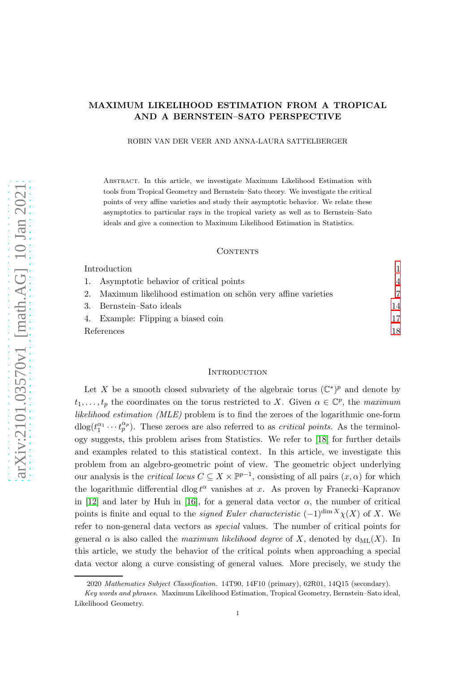# MAXIMUM LIKELIHOOD ESTIMATION FROM A TROPICAL AND A BERNSTEIN–SATO PERSPECTIVE

ROBIN VAN DER VEER AND ANNA-LAURA SATTELBERGER

Abstract. In this article, we investigate Maximum Likelihood Estimation with tools from Tropical Geometry and Bernstein–Sato theory. We investigate the critical points of very affine varieties and study their asymptotic behavior. We relate these asymptotics to particular rays in the tropical variety as well as to Bernstein–Sato ideals and give a connection to Maximum Likelihood Estimation in Statistics.

#### CONTENTS

| Introduction                                                 |     |
|--------------------------------------------------------------|-----|
| Asymptotic behavior of critical points<br>1.                 | 4   |
| Maximum likelihood estimation on schön very affine varieties |     |
| Bernstein–Sato ideals                                        | 14  |
| 4. Example: Flipping a biased coin                           | 17  |
| References                                                   | 18. |

#### <span id="page-0-0"></span>**INTRODUCTION**

Let X be a smooth closed subvariety of the algebraic torus  $(\mathbb{C}^*)^p$  and denote by  $t_1, \ldots, t_p$  the coordinates on the torus restricted to X. Given  $\alpha \in \mathbb{C}^p$ , the maximum likelihood estimation (MLE) problem is to find the zeroes of the logarithmic one-form  $d\log(t_1^{\alpha_1}\cdots t_p^{\alpha_p})$ . These zeroes are also referred to as *critical points*. As the terminology suggests, this problem arises from Statistics. We refer to [\[18\]](#page-18-0) for further details and examples related to this statistical context. In this article, we investigate this problem from an algebro-geometric point of view. The geometric object underlying our analysis is the *critical locus*  $C \subseteq X \times \mathbb{P}^{p-1}$ , consisting of all pairs  $(x, \alpha)$  for which the logarithmic differential dlog  $t^{\alpha}$  vanishes at x. As proven by Franecki–Kapranov in [\[12\]](#page-17-1) and later by Huh in [\[16\]](#page-18-1), for a general data vector  $\alpha$ , the number of critical points is finite and equal to the *signed Euler characteristic* (−1)<sup>dim X</sup> $\chi$ (X) of X. We refer to non-general data vectors as special values. The number of critical points for general  $\alpha$  is also called the maximum likelihood degree of X, denoted by  $d_{ML}(X)$ . In this article, we study the behavior of the critical points when approaching a special data vector along a curve consisting of general values. More precisely, we study the

<sup>2020</sup> Mathematics Subject Classification. 14T90, 14F10 (primary), 62R01, 14Q15 (secondary).

Key words and phrases. Maximum Likelihood Estimation, Tropical Geometry, Bernstein–Sato ideal, Likelihood Geometry.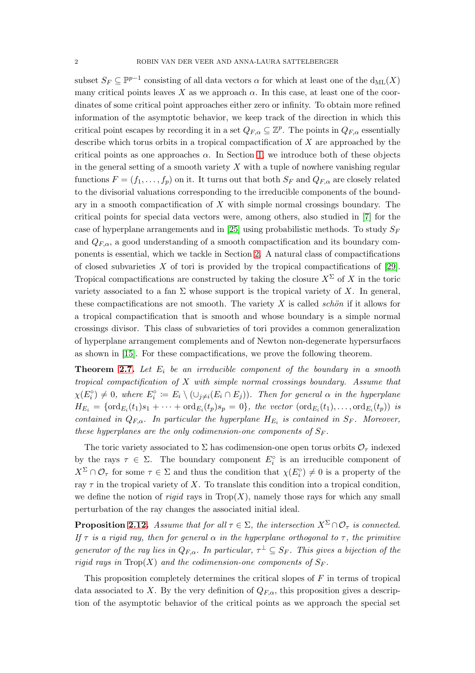subset  $S_F \subseteq \mathbb{P}^{p-1}$  consisting of all data vectors  $\alpha$  for which at least one of the  $d_{ML}(X)$ many critical points leaves X as we approach  $\alpha$ . In this case, at least one of the coordinates of some critical point approaches either zero or infinity. To obtain more refined information of the asymptotic behavior, we keep track of the direction in which this critical point escapes by recording it in a set  $Q_{F,\alpha} \subseteq \mathbb{Z}^p$ . The points in  $Q_{F,\alpha}$  essentially describe which torus orbits in a tropical compactification of  $X$  are approached by the critical points as one approaches  $\alpha$ . In Section [1,](#page-3-0) we introduce both of these objects in the general setting of a smooth variety  $X$  with a tuple of nowhere vanishing regular functions  $F = (f_1, \ldots, f_p)$  on it. It turns out that both  $S_F$  and  $Q_{F,\alpha}$  are closely related to the divisorial valuations corresponding to the irreducible components of the boundary in a smooth compactification of  $X$  with simple normal crossings boundary. The critical points for special data vectors were, among others, also studied in [\[7\]](#page-17-2) for the case of hyperplane arrangements and in [\[25\]](#page-18-2) using probabilistic methods. To study  $S_F$ and  $Q_{F,\alpha}$ , a good understanding of a smooth compactification and its boundary components is essential, which we tackle in Section [2.](#page-6-0) A natural class of compactifications of closed subvarieties  $X$  of tori is provided by the tropical compactifications of [\[29\]](#page-18-3). Tropical compactifications are constructed by taking the closure  $X^{\Sigma}$  of X in the toric variety associated to a fan  $\Sigma$  whose support is the tropical variety of X. In general, these compactifications are not smooth. The variety  $X$  is called schön if it allows for a tropical compactification that is smooth and whose boundary is a simple normal crossings divisor. This class of subvarieties of tori provides a common generalization of hyperplane arrangement complements and of Newton non-degenerate hypersurfaces as shown in [\[15\]](#page-18-4). For these compactifications, we prove the following theorem.

**Theorem [2.7.](#page-7-0)** Let  $E_i$  be an irreducible component of the boundary in a smooth tropical compactification of  $X$  with simple normal crossings boundary. Assume that  $\chi(E_i^{\circ}) \neq 0$ , where  $E_i^{\circ} := E_i \setminus (\cup_{j \neq i} (E_i \cap E_j))$ . Then for general  $\alpha$  in the hyperplane  $H_{E_i} = \{\text{ord}_{E_i}(t_1)s_1 + \cdots + \text{ord}_{E_i}(t_p)s_p = 0\},\$  the vector  $(\text{ord}_{E_i}(t_1), \ldots, \text{ord}_{E_i}(t_p))$  is contained in  $Q_{F,\alpha}$ . In particular the hyperplane  $H_{E_i}$  is contained in  $S_F$ . Moreover, these hyperplanes are the only codimension-one components of  $S_F$ .

The toric variety associated to  $\Sigma$  has codimension-one open torus orbits  $\mathcal{O}_{\tau}$  indexed by the rays  $\tau \in \Sigma$ . The boundary component  $E_i^{\circ}$  is an irreducible component of  $X^{\Sigma} \cap \mathcal{O}_{\tau}$  for some  $\tau \in \Sigma$  and thus the condition that  $\chi(E_i^{\circ}) \neq 0$  is a property of the ray  $\tau$  in the tropical variety of X. To translate this condition into a tropical condition, we define the notion of rigid rays in  $Trop(X)$ , namely those rays for which any small perturbation of the ray changes the associated initial ideal.

**Proposition [2.12.](#page-9-0)** Assume that for all  $\tau \in \Sigma$ , the intersection  $X^{\Sigma} \cap \mathcal{O}_{\tau}$  is connected. If  $\tau$  is a rigid ray, then for general  $\alpha$  in the hyperplane orthogonal to  $\tau$ , the primitive generator of the ray lies in  $Q_{F,\alpha}$ . In particular,  $\tau^{\perp} \subseteq S_F$ . This gives a bijection of the rigid rays in  $\text{Top}(X)$  and the codimension-one components of  $S_F$ .

This proposition completely determines the critical slopes of F in terms of tropical data associated to X. By the very definition of  $Q_{F,\alpha}$ , this proposition gives a description of the asymptotic behavior of the critical points as we approach the special set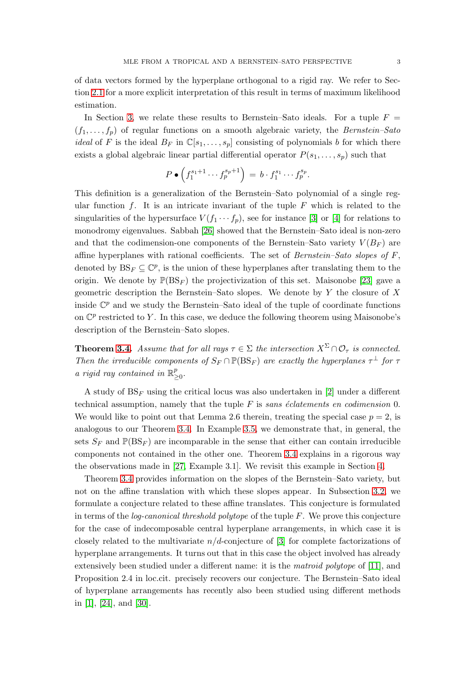of data vectors formed by the hyperplane orthogonal to a rigid ray. We refer to Section [2.1](#page-6-1) for a more explicit interpretation of this result in terms of maximum likelihood estimation.

In Section [3,](#page-13-0) we relate these results to Bernstein–Sato ideals. For a tuple  $F =$  $(f_1, \ldots, f_p)$  of regular functions on a smooth algebraic variety, the Bernstein–Sato *ideal* of F is the ideal  $B_F$  in  $\mathbb{C}[s_1,\ldots,s_p]$  consisting of polynomials b for which there exists a global algebraic linear partial differential operator  $P(s_1, \ldots, s_p)$  such that

$$
P\bullet \left(f_1^{s_1+1}\cdots f_p^{s_p+1}\right) = b\cdot f_1^{s_1}\cdots f_p^{s_p}.
$$

This definition is a generalization of the Bernstein–Sato polynomial of a single regular function f. It is an intricate invariant of the tuple  $F$  which is related to the singularities of the hypersurface  $V(f_1 \cdots f_p)$ , see for instance [\[3\]](#page-17-3) or [\[4\]](#page-17-4) for relations to monodromy eigenvalues. Sabbah [\[26\]](#page-18-5) showed that the Bernstein–Sato ideal is non-zero and that the codimension-one components of the Bernstein–Sato variety  $V(B_F)$  are affine hyperplanes with rational coefficients. The set of *Bernstein–Sato slopes of*  $F$ , denoted by  $BS_F \subseteq \mathbb{C}^p$ , is the union of these hyperplanes after translating them to the origin. We denote by  $\mathbb{P}(BS_F)$  the projectivization of this set. Maisonobe [\[23\]](#page-18-6) gave a geometric description the Bernstein–Sato slopes. We denote by  $Y$  the closure of  $X$ inside  $\mathbb{C}^p$  and we study the Bernstein–Sato ideal of the tuple of coordinate functions on  $\mathbb{C}^p$  restricted to Y. In this case, we deduce the following theorem using Maisonobe's description of the Bernstein–Sato slopes.

**Theorem [3.4.](#page-14-0)** Assume that for all rays  $\tau \in \Sigma$  the intersection  $X^{\Sigma} \cap \mathcal{O}_{\tau}$  is connected. Then the irreducible components of  $S_F \cap \mathbb{P}(\text{BS}_F)$  are exactly the hyperplanes  $\tau^{\perp}$  for  $\tau$ a rigid ray contained in  $\mathbb{R}^p$ *բ*<br>≥0∙

A study of  $BS_F$  using the critical locus was also undertaken in [\[2\]](#page-17-5) under a different technical assumption, namely that the tuple  $F$  is sans éclatements en codimension 0. We would like to point out that Lemma 2.6 therein, treating the special case  $p = 2$ , is analogous to our Theorem [3.4.](#page-14-0) In Example [3.5,](#page-14-1) we demonstrate that, in general, the sets  $S_F$  and  $\mathbb{P}(BS_F)$  are incomparable in the sense that either can contain irreducible components not contained in the other one. Theorem [3.4](#page-14-0) explains in a rigorous way the observations made in [\[27,](#page-18-7) Example 3.1]. We revisit this example in Section [4.](#page-16-0)

Theorem [3.4](#page-14-0) provides information on the slopes of the Bernstein–Sato variety, but not on the affine translation with which these slopes appear. In Subsection [3.2,](#page-15-0) we formulate a conjecture related to these affine translates. This conjecture is formulated in terms of the *log-canonical threshold polytope* of the tuple  $F$ . We prove this conjecture for the case of indecomposable central hyperplane arrangements, in which case it is closely related to the multivariate  $n/d$ -conjecture of [\[3\]](#page-17-3) for complete factorizations of hyperplane arrangements. It turns out that in this case the object involved has already extensively been studied under a different name: it is the matroid polytope of [\[11\]](#page-17-6), and Proposition 2.4 in loc.cit. precisely recovers our conjecture. The Bernstein–Sato ideal of hyperplane arrangements has recently also been studied using different methods in [\[1\]](#page-17-7), [\[24\]](#page-18-8), and [\[30\]](#page-18-9).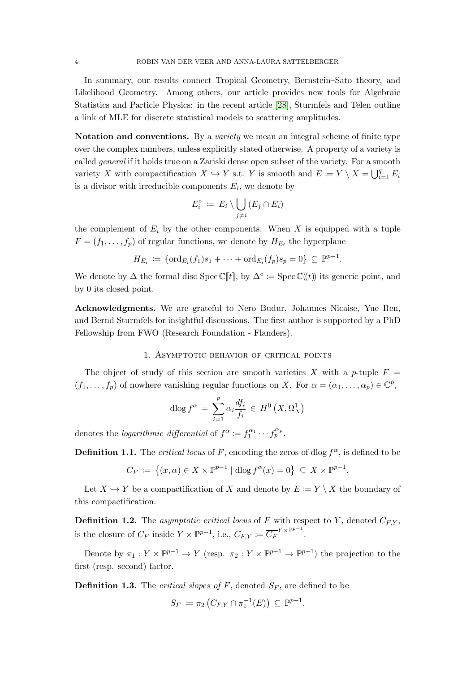In summary, our results connect Tropical Geometry, Bernstein–Sato theory, and Likelihood Geometry. Among others, our article provides new tools for Algebraic Statistics and Particle Physics: in the recent article [\[28\]](#page-18-10), Sturmfels and Telen outline a link of MLE for discrete statistical models to scattering amplitudes.

Notation and conventions. By a *variety* we mean an integral scheme of finite type over the complex numbers, unless explicitly stated otherwise. A property of a variety is called general if it holds true on a Zariski dense open subset of the variety. For a smooth variety X with compactification  $X \hookrightarrow Y$  s.t. Y is smooth and  $E \coloneqq Y \setminus X = \bigcup_{i=1}^q E_i$ is a divisor with irreducible components  $E_i$ , we denote by

$$
E_i^\circ := E_i \setminus \bigcup_{j \neq i} (E_j \cap E_i)
$$

the complement of  $E_i$  by the other components. When X is equipped with a tuple  $F = (f_1, \ldots, f_p)$  of regular functions, we denote by  $H_{E_i}$  the hyperplane

$$
H_{E_i} \coloneqq \{ \text{ord}_{E_i}(f_1)s_1 + \cdots + \text{ord}_{E_i}(f_p)s_p = 0 \} \subseteq \mathbb{P}^{p-1}.
$$

We denote by  $\Delta$  the formal disc Spec C[t], by  $\Delta^{\circ}$  := Spec C((t)) its generic point, and by 0 its closed point.

Acknowledgments. We are grateful to Nero Budur, Johannes Nicaise, Yue Ren, and Bernd Sturmfels for insightful discussions. The first author is supported by a PhD Fellowship from FWO (Research Foundation - Flanders).

### 1. Asymptotic behavior of critical points

<span id="page-3-0"></span>The object of study of this section are smooth varieties X with a p-tuple  $F =$  $(f_1,\ldots,f_p)$  of nowhere vanishing regular functions on X. For  $\alpha = (\alpha_1,\ldots,\alpha_p) \in \mathbb{C}^p$ ,

$$
\operatorname{dlog} f^{\alpha} = \sum_{i=1}^{p} \alpha_i \frac{df_i}{f_i} \in H^0(X, \Omega^1_X)
$$

denotes the *logarithmic differential* of  $f^{\alpha} := f_1^{\alpha_1}$  $f_p^{\alpha_1} \cdots f_p^{\alpha_p}.$ 

**Definition 1.1.** The *critical locus* of F, encoding the zeros of dlog  $f^{\alpha}$ , is defined to be

$$
C_F \coloneqq \left\{ (x, \alpha) \in X \times \mathbb{P}^{p-1} \mid \text{dlog } f^{\alpha}(x) = 0 \right\} \subseteq X \times \mathbb{P}^{p-1}.
$$

Let  $X \hookrightarrow Y$  be a compactification of X and denote by  $E \coloneqq Y \setminus X$  the boundary of this compactification.

**Definition 1.2.** The asymptotic critical locus of F with respect to Y, denoted  $C_{F,Y}$ , is the closure of  $C_F$  inside  $Y \times \mathbb{P}^{p-1}$ , i.e.,  $C_{F,Y} := \overline{C_F}^{Y \times \mathbb{P}^{p-1}}$ .

Denote by  $\pi_1: Y \times \mathbb{P}^{p-1} \to Y$  (resp.  $\pi_2: Y \times \mathbb{P}^{p-1} \to \mathbb{P}^{p-1}$ ) the projection to the first (resp. second) factor.

**Definition 1.3.** The *critical slopes of*  $F$ , denoted  $S_F$ , are defined to be

$$
S_F := \pi_2 \left( C_{F,Y} \cap \pi_1^{-1}(E) \right) \subseteq \mathbb{P}^{p-1}.
$$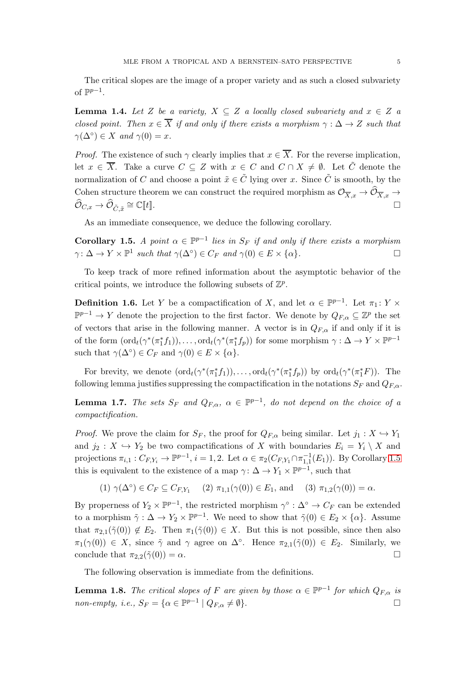The critical slopes are the image of a proper variety and as such a closed subvariety of  $\mathbb{P}^{p-1}$ .

**Lemma 1.4.** Let Z be a variety,  $X \subseteq Z$  a locally closed subvariety and  $x \in Z$  a closed point. Then  $x \in \overline{X}$  if and only if there exists a morphism  $\gamma : \Delta \to Z$  such that  $\gamma(\Delta^{\circ}) \in X$  and  $\gamma(0) = x$ .

*Proof.* The existence of such  $\gamma$  clearly implies that  $x \in \overline{X}$ . For the reverse implication, let  $x \in \overline{X}$ . Take a curve  $C \subseteq Z$  with  $x \in C$  and  $C \cap X \neq \emptyset$ . Let  $\tilde{C}$  denote the normalization of C and choose a point  $\tilde{x} \in \tilde{C}$  lying over x. Since  $\tilde{C}$  is smooth, by the Cohen structure theorem we can construct the required morphism as  $\mathcal{O}_{\overline{X},x} \to \mathcal{O}_{\overline{X},x}$  $\psi_{C,x} \rightarrow \psi_{\tilde{C},\tilde{x}}$  $\cong \mathbb{C}[[t]].$ 

As an immediate consequence, we deduce the following corollary.

<span id="page-4-0"></span>**Corollary 1.5.** A point  $\alpha \in \mathbb{P}^{p-1}$  lies in  $S_F$  if and only if there exists a morphism  $\gamma: \Delta \to Y \times \mathbb{P}^1$  such that  $\gamma(\Delta^{\circ}) \in C_F$  and  $\gamma(0) \in E \times \{\alpha\}.$ 

To keep track of more refined information about the asymptotic behavior of the critical points, we introduce the following subsets of  $\mathbb{Z}^p$ .

**Definition 1.6.** Let Y be a compactification of X, and let  $\alpha \in \mathbb{P}^{p-1}$ . Let  $\pi_1: Y \times$  $\mathbb{P}^{p-1}$  → Y denote the projection to the first factor. We denote by  $Q_{F,\alpha} \subseteq \mathbb{Z}^p$  the set of vectors that arise in the following manner. A vector is in  $Q_{F,\alpha}$  if and only if it is of the form  $(\text{ord}_t(\gamma^*(\pi_1^*f_1)), \ldots, \text{ord}_t(\gamma^*(\pi_1^*f_p))$  for some morphism  $\gamma : \Delta \to Y \times \mathbb{P}^{p-1}$ such that  $\gamma(\Delta^{\circ}) \in C_F$  and  $\gamma(0) \in E \times {\alpha}$ .

For brevity, we denote  $(\text{ord}_t(\gamma^*(\pi_1^*f_1)), \ldots, \text{ord}_t(\gamma^*(\pi_1^*f_p))$  by  $\text{ord}_t(\gamma^*(\pi_1^*F))$ . The following lemma justifies suppressing the compactification in the notations  $S_F$  and  $Q_{F,\alpha}$ .

**Lemma 1.7.** The sets  $S_F$  and  $Q_{F,\alpha}$ ,  $\alpha \in \mathbb{P}^{p-1}$ , do not depend on the choice of a compactification.

*Proof.* We prove the claim for  $S_F$ , the proof for  $Q_{F,\alpha}$  being similar. Let  $j_1 : X \hookrightarrow Y_1$ and  $j_2: X \hookrightarrow Y_2$  be two compactifications of X with boundaries  $E_i = Y_i \setminus X$  and projections  $\pi_{i,1} : C_{F,Y_i} \to \mathbb{P}^{p-1}, i = 1,2$ . Let  $\alpha \in \pi_2(C_{F,Y_1} \cap \pi_{1,1}^{-1}(E_1))$ . By Corollary [1.5](#page-4-0) this is equivalent to the existence of a map  $\gamma: \Delta \to Y_1 \times \mathbb{P}^{p-1}$ , such that

$$
(1) \ \gamma(\Delta^{\circ}) \in C_F \subseteq C_{F,Y_1} \quad (2) \ \pi_{1,1}(\gamma(0)) \in E_1, \text{ and } \quad (3) \ \pi_{1,2}(\gamma(0)) = \alpha.
$$

By properness of  $Y_2 \times \mathbb{P}^{p-1}$ , the restricted morphism  $\gamma^{\circ} : \Delta^{\circ} \to C_F$  can be extended to a morphism  $\tilde{\gamma}: \Delta \to Y_2 \times \mathbb{P}^{p-1}$ . We need to show that  $\tilde{\gamma}(0) \in E_2 \times \{\alpha\}$ . Assume that  $\pi_{2,1}(\tilde{\gamma}(0)) \notin E_2$ . Then  $\pi_1(\tilde{\gamma}(0)) \in X$ . But this is not possible, since then also  $\pi_1(\gamma(0)) \in X$ , since  $\tilde{\gamma}$  and  $\gamma$  agree on  $\Delta^{\circ}$ . Hence  $\pi_{2,1}(\tilde{\gamma}(0)) \in E_2$ . Similarly, we conclude that  $\pi_{2,2}(\tilde{\gamma}(0)) = \alpha$ .

The following observation is immediate from the definitions.

**Lemma 1.8.** The critical slopes of F are given by those  $\alpha \in \mathbb{P}^{p-1}$  for which  $Q_{F,\alpha}$  is non-empty, i.e.,  $S_F = \{ \alpha \in \mathbb{P}^{p-1} \mid Q_{F,\alpha} \neq \emptyset \}.$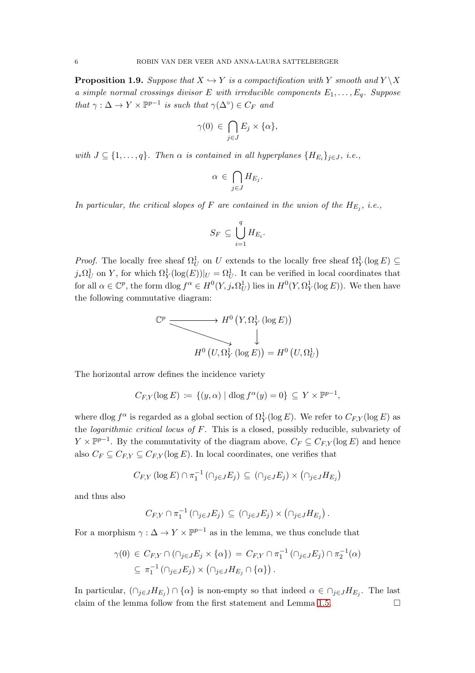<span id="page-5-0"></span>**Proposition 1.9.** Suppose that  $X \hookrightarrow Y$  is a compactification with Y smooth and  $Y \setminus X$ a simple normal crossings divisor E with irreducible components  $E_1, \ldots, E_q$ . Suppose that  $\gamma : \Delta \to Y \times \mathbb{P}^{p-1}$  is such that  $\gamma(\Delta^{\circ}) \in C_F$  and

$$
\gamma(0) \in \bigcap_{j \in J} E_j \times \{\alpha\},\
$$

with  $J \subseteq \{1, \ldots, q\}$ . Then  $\alpha$  is contained in all hyperplanes  $\{H_{E_i}\}_{j \in J}$ , i.e.,

$$
\alpha \in \bigcap_{j \in J} H_{E_j}.
$$

In particular, the critical slopes of F are contained in the union of the  $H_{E_j}$ , i.e.,

$$
S_F \subseteq \bigcup_{i=1}^q H_{E_i}.
$$

*Proof.* The locally free sheaf  $\Omega_U^1$  on U extends to the locally free sheaf  $\Omega_Y^1(\log E) \subseteq$  $j_*\Omega_U^1$  on Y, for which  $\Omega_Y^1(\log(E))|_U = \Omega_U^1$ . It can be verified in local coordinates that for all  $\alpha \in \mathbb{C}^p$ , the form dlog  $f^{\alpha} \in H^0(Y, j_*\Omega_U^1)$  lies in  $H^0(Y, \Omega_Y^1(\log E))$ . We then have the following commutative diagram:

$$
\mathbb{C}^p \longrightarrow H^0 \left( Y, \Omega^1_Y (\log E) \right)
$$
  

$$
H^0 \left( U, \Omega^1_Y (\log E) \right) = H^0 \left( U, \Omega^1_U \right)
$$

The horizontal arrow defines the incidence variety

$$
C_{F,Y}(\log E) \coloneqq \{ (y,\alpha) \mid \mathrm{dlog}\, f^{\alpha}(y) = 0 \} \subseteq Y \times \mathbb{P}^{p-1},
$$

where dlog  $f^{\alpha}$  is regarded as a global section of  $\Omega_Y^1(\log E)$ . We refer to  $C_{F,Y}(\log E)$  as the *logarithmic critical locus of*  $F$ . This is a closed, possibly reducible, subvariety of  $Y \times \mathbb{P}^{p-1}$ . By the commutativity of the diagram above,  $C_F \subseteq C_{F,Y}(\log E)$  and hence also  $C_F \subseteq C_{F,Y} \subseteq C_{F,Y}(\log E)$ . In local coordinates, one verifies that

$$
C_{F,Y} (\log E) \cap \pi_1^{-1} (\cap_{j \in J} E_j) \subseteq (\cap_{j \in J} E_j) \times (\cap_{j \in J} H_{E_j})
$$

and thus also

$$
C_{F,Y} \cap \pi_1^{-1}(\cap_{j\in J}E_j) \subseteq (\cap_{j\in J}E_j) \times (\cap_{j\in J}H_{E_j}).
$$

For a morphism  $\gamma : \Delta \to Y \times \mathbb{P}^{p-1}$  as in the lemma, we thus conclude that

$$
\gamma(0) \in C_{F,Y} \cap (\cap_{j \in J} E_j \times \{\alpha\}) = C_{F,Y} \cap \pi_1^{-1} (\cap_{j \in J} E_j) \cap \pi_2^{-1}(\alpha)
$$
  

$$
\subseteq \pi_1^{-1} (\cap_{j \in J} E_j) \times (\cap_{j \in J} H_{E_j} \cap \{\alpha\}).
$$

In particular,  $(\bigcap_{j\in J} H_{E_j}) \cap {\alpha}$  is non-empty so that indeed  $\alpha \in \bigcap_{j\in J} H_{E_j}$ . The last claim of the lemma follow from the first statement and Lemma [1.5.](#page-4-0)  $\Box$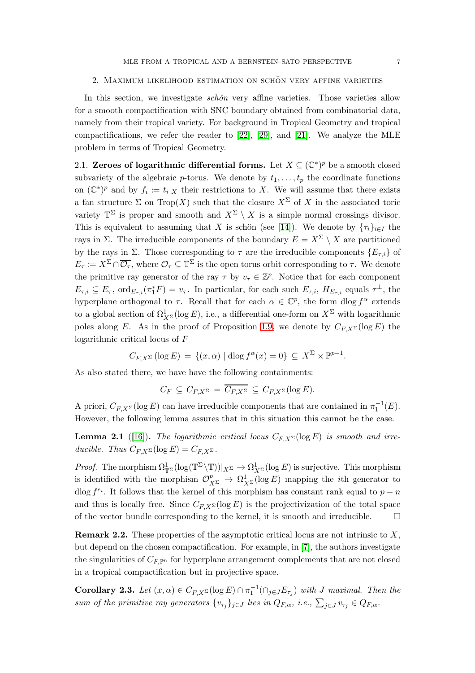#### <span id="page-6-0"></span>2. MAXIMUM LIKELIHOOD ESTIMATION ON SCHÖN VERY AFFINE VARIETIES

In this section, we investigate *schön* very affine varieties. Those varieties allow for a smooth compactification with SNC boundary obtained from combinatorial data, namely from their tropical variety. For background in Tropical Geometry and tropical compactifications, we refer the reader to [\[22\]](#page-18-11), [\[29\]](#page-18-3), and [\[21\]](#page-18-12). We analyze the MLE problem in terms of Tropical Geometry.

<span id="page-6-1"></span>2.1. Zeroes of logarithmic differential forms. Let  $X \subseteq (\mathbb{C}^*)^p$  be a smooth closed subvariety of the algebraic p-torus. We denote by  $t_1, \ldots, t_p$  the coordinate functions on  $(\mathbb{C}^*)^p$  and by  $f_i := t_i | X$  their restrictions to X. We will assume that there exists a fan structure  $\Sigma$  on Trop(X) such that the closure  $X^{\Sigma}$  of X in the associated toric variety  $\mathbb{T}^{\Sigma}$  is proper and smooth and  $X^{\Sigma} \setminus X$  is a simple normal crossings divisor. This is equivalent to assuming that X is schön (see [\[14\]](#page-17-8)). We denote by  $\{\tau_i\}_{i\in I}$  the rays in Σ. The irreducible components of the boundary  $E = X^{\Sigma} \setminus X$  are partitioned by the rays in Σ. Those corresponding to  $\tau$  are the irreducible components  $\{E_{\tau,i}\}\$  of  $E_{\tau} \coloneqq X^{\Sigma} \cap \overline{\mathcal{O}_{\tau}}$ , where  $\mathcal{O}_{\tau} \subseteq \mathbb{T}^{\Sigma}$  is the open torus orbit corresponding to  $\tau$ . We denote the primitive ray generator of the ray  $\tau$  by  $v_{\tau} \in \mathbb{Z}^p$ . Notice that for each component  $E_{\tau,i} \subseteq E_{\tau}$ ,  $\text{ord}_{E_{\tau,i}}(\pi^*_1 F) = v_{\tau}$ . In particular, for each such  $E_{\tau,i}$ ,  $H_{E_{\tau,i}}$  equals  $\tau^{\perp}$ , the hyperplane orthogonal to  $\tau$ . Recall that for each  $\alpha \in \mathbb{C}^p$ , the form  $\text{dlog } f^{\alpha}$  extends to a global section of  $\Omega^1_{X^{\Sigma}}(\log E)$ , i.e., a differential one-form on  $X^{\Sigma}$  with logarithmic poles along E. As in the proof of Proposition [1.9,](#page-5-0) we denote by  $C_{F,X^{\Sigma}}(\log E)$  the logarithmic critical locus of F

$$
C_{F,X^{\Sigma}}(\log E) = \{(x,\alpha) \mid \mathrm{dlog}\, f^{\alpha}(x) = 0\} \subseteq X^{\Sigma} \times \mathbb{P}^{p-1}.
$$

As also stated there, we have have the following containments:

$$
C_F \subseteq C_{F,X^{\Sigma}} = \overline{C_{F,X^{\Sigma}}} \subseteq C_{F,X^{\Sigma}}(\log E).
$$

A priori,  $C_{F,X^{\Sigma}}(\log E)$  can have irreducible components that are contained in  $\pi_1^{-1}(E)$ . However, the following lemma assures that in this situation this cannot be the case.

<span id="page-6-2"></span>**Lemma 2.1** ([\[16\]](#page-18-1)). The logarithmic critical locus  $C_{F,X}(\log E)$  is smooth and irreducible. Thus  $C_{F,X^{\Sigma}}(\log E) = C_{F,X^{\Sigma}}$ .

*Proof.* The morphism  $\Omega_{\mathbb{T}^{\Sigma}}^1(\log(\mathbb{T}^{\Sigma}\setminus\mathbb{T}))|_{X^{\Sigma}} \to \Omega_{X^{\Sigma}}^1(\log E)$  is surjective. This morphism is identified with the morphism  $\mathcal{O}_{X^{\Sigma}}^p \to \Omega_{X^{\Sigma}}^1(\log E)$  mapping the *i*th generator to dlog  $f^{e_i}$ . It follows that the kernel of this morphism has constant rank equal to  $p - n$ and thus is locally free. Since  $C_{FX} \Sigma(\log E)$  is the projectivization of the total space of the vector bundle corresponding to the kernel, it is smooth and irreducible.  $\Box$ 

**Remark 2.2.** These properties of the asymptotic critical locus are not intrinsic to  $X$ , but depend on the chosen compactification. For example, in [\[7\]](#page-17-2), the authors investigate the singularities of  $C_{F,\mathbb{P}^n}$  for hyperplane arrangement complements that are not closed in a tropical compactification but in projective space.

<span id="page-6-3"></span>**Corollary 2.3.** Let  $(x, \alpha) \in C_{F,X}$   $\infty$  (log E)  $\cap \pi_1^{-1}(\cap_{j \in J} E_{\tau_j})$  with J maximal. Then the sum of the primitive ray generators  $\{v_{\tau_j}\}_{j\in J}$  lies in  $Q_{F,\alpha}$ , i.e.,  $\sum_{j\in J} v_{\tau_j} \in Q_{F,\alpha}$ .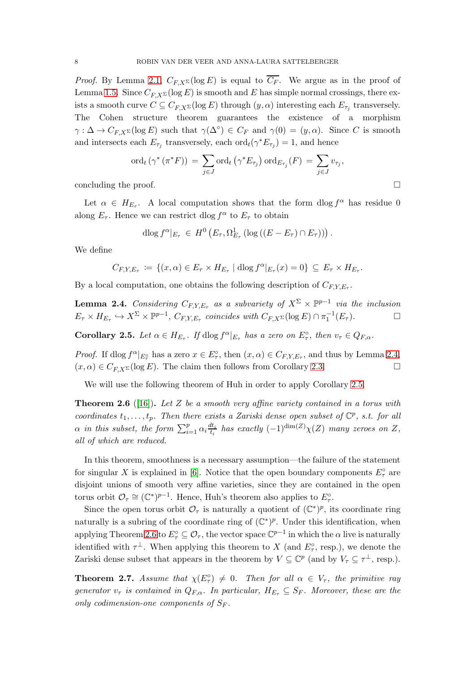*Proof.* By Lemma [2.1,](#page-6-2)  $C_{F,X^{\Sigma}}(\log E)$  is equal to  $\overline{C_F}$ . We argue as in the proof of Lemma [1.5.](#page-4-0) Since  $C_{F,X^{\Sigma}}(\log E)$  is smooth and E has simple normal crossings, there exists a smooth curve  $C \subseteq C_{F,X^{\Sigma}}(\log E)$  through  $(y, \alpha)$  interesting each  $E_{\tau_j}$  transversely. The Cohen structure theorem guarantees the existence of a morphism  $\gamma: \Delta \to C_{F,X^{\Sigma}}(\log E)$  such that  $\gamma(\Delta^{\circ}) \in C_F$  and  $\gamma(0) = (y,\alpha)$ . Since C is smooth and intersects each  $E_{\tau_j}$  transversely, each  $\mathrm{ord}_t(\gamma^* E_{\tau_j}) = 1$ , and hence

$$
\mathrm{ord}_{t} \left( \gamma^* \left( \pi^* F \right) \right) \, = \, \sum_{j \in J} \mathrm{ord}_{t} \left( \gamma^* E_{\tau_j} \right) \mathrm{ord}_{E_{\tau_j}}(F) \, = \, \sum_{j \in J} v_{\tau_j},
$$

concluding the proof.

Let  $\alpha \in H_{E_{\tau}}$ . A local computation shows that the form  $\text{dlog } f^{\alpha}$  has residue 0 along  $E_{\tau}$ . Hence we can restrict dlog  $f^{\alpha}$  to  $E_{\tau}$  to obtain

$$
\mathrm{dlog} f^{\alpha}|_{E_{\tau}} \in H^0\left(E_{\tau}, \Omega^1_{E_{\tau}}\left(\log\left((E - E_{\tau}) \cap E_{\tau}\right)\right)\right).
$$

We define

$$
C_{F,Y,E_{\tau}} := \{ (x,\alpha) \in E_{\tau} \times H_{E_{\tau}} \mid \mathrm{dlog} f^{\alpha}|_{E_{\tau}}(x) = 0 \} \subseteq E_{\tau} \times H_{E_{\tau}}.
$$

By a local computation, one obtains the following description of  $C_{F,Y,E_\tau}$ .

<span id="page-7-1"></span>**Lemma 2.4.** Considering  $C_{F,Y,E_\tau}$  as a subvariety of  $X^{\Sigma} \times \mathbb{P}^{p-1}$  via the inclusion  $E_{\tau} \times H_{E_{\tau}} \hookrightarrow X^{\Sigma} \times \mathbb{P}^{p-1}, C_{F,Y,E_{\tau}}$  coincides with  $C_{F,X^{\Sigma}}(\log E) \cap \pi_1^{-1}(E_{\tau}).$ 

<span id="page-7-2"></span>**Corollary 2.5.** Let  $\alpha \in H_{E_{\tau}}$ . If  $\text{dlog } f^{\alpha}|_{E_{\tau}}$  has a zero on  $E_{\tau}^{\circ}$ , then  $v_{\tau} \in Q_{F,\alpha}$ .

*Proof.* If dlog  $f^{\alpha}|_{E^{\circ}_{\tau}}$  has a zero  $x \in E^{\circ}_{\tau}$ , then  $(x, \alpha) \in C_{F,Y,E_{\tau}}$ , and thus by Lemma [2.4,](#page-7-1)  $(x, \alpha) \in C_{F,X^{\Sigma}}(\log E)$ . The claim then follows from Corollary [2.3.](#page-6-3)

We will use the following theorem of Huh in order to apply Corollary [2.5.](#page-7-2)

<span id="page-7-3"></span>**Theorem 2.6** ([\[16\]](#page-18-1)). Let Z be a smooth very affine variety contained in a torus with coordinates  $t_1, \ldots, t_p$ . Then there exists a Zariski dense open subset of  $\mathbb{C}^p$ , s.t. for all  $\alpha$  in this subset, the form  $\sum_{i=1}^{p} \alpha_i \frac{dt_i}{t_i}$  $\frac{dt_i}{t_i}$  has exactly  $(-1)^{\dim(Z)}\chi(Z)$  many zeroes on Z, all of which are reduced.

In this theorem, smoothness is a necessary assumption—the failure of the statement for singular X is explained in [\[6\]](#page-17-9). Notice that the open boundary components  $E^{\circ}_{\tau}$  are disjoint unions of smooth very affine varieties, since they are contained in the open torus orbit  $\mathcal{O}_{\tau} \cong (\mathbb{C}^*)^{p-1}$ . Hence, Huh's theorem also applies to  $E_{\tau}^{\circ}$ .

Since the open torus orbit  $\mathcal{O}_{\tau}$  is naturally a quotient of  $(\mathbb{C}^*)^p$ , its coordinate ring naturally is a subring of the coordinate ring of  $(\mathbb{C}^*)^p$ . Under this identification, when applying Theorem [2.6](#page-7-3) to  $E^{\circ}_{\tau} \subseteq \mathcal{O}_{\tau}$ , the vector space  $\mathbb{C}^{p-1}$  in which the  $\alpha$  live is naturally identified with  $\tau^{\perp}$ . When applying this theorem to X (and  $E_{\tau}^{\circ}$ , resp.), we denote the Zariski dense subset that appears in the theorem by  $V \subseteq \mathbb{C}^p$  (and by  $V_\tau \subseteq \tau^{\perp}$ , resp.).

<span id="page-7-0"></span>**Theorem 2.7.** Assume that  $\chi(E_\tau^{\circ}) \neq 0$ . Then for all  $\alpha \in V_\tau$ , the primitive ray generator  $v_{\tau}$  is contained in  $Q_{F,\alpha}$ . In particular,  $H_{E_{\tau}} \subseteq S_F$ . Moreover, these are the only codimension-one components of  $S_F$ .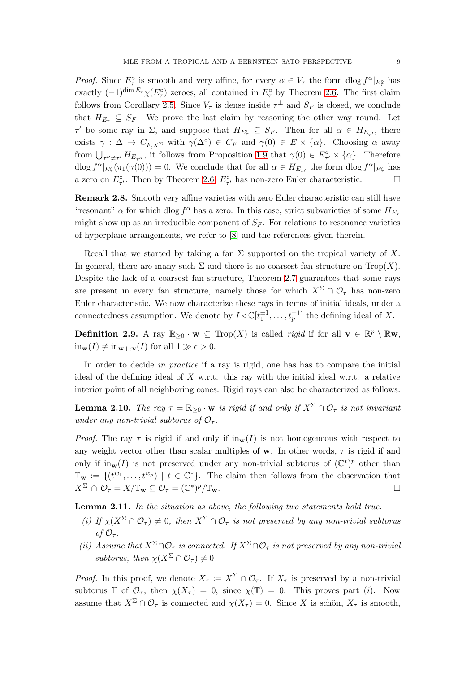*Proof.* Since  $E_{\tau}^{\circ}$  is smooth and very affine, for every  $\alpha \in V_{\tau}$  the form  $\text{dlog } f^{\alpha}|_{E_{\tau}^{\circ}}$  has exactly  $(-1)^{\dim E_{\tau}} \chi(E_{\tau}^{\circ})$  zeroes, all contained in  $E_{\tau}^{\circ}$  by Theorem [2.6.](#page-7-3) The first claim follows from Corollary [2.5.](#page-7-2) Since  $V_{\tau}$  is dense inside  $\tau^{\perp}$  and  $S_F$  is closed, we conclude that  $H_{E_{\tau}} \subseteq S_F$ . We prove the last claim by reasoning the other way round. Let  $\tau'$  be some ray in  $\Sigma$ , and suppose that  $H_{E'_{\tau}} \subseteq S_F$ . Then for all  $\alpha \in H_{E_{\tau'}}$ , there exists  $\gamma : \Delta \to C_{F,X^{\Sigma}}$  with  $\gamma(\Delta^{\circ}) \in C_F$  and  $\gamma(0) \in E \times {\alpha}$ . Choosing  $\alpha$  away from  $\bigcup_{\tau''\neq\tau'} H_{E_{\tau''}}$ , it follows from Proposition [1.9](#page-5-0) that  $\gamma(0) \in E^{\circ}_{\tau'} \times {\alpha}$ . Therefore  $\text{dlog } f^{\alpha}|_{E'_{\tau}}(\pi_1(\gamma(0))) = 0.$  We conclude that for all  $\alpha \in H_{E_{\tau'}}$  the form  $\text{dlog } f^{\alpha}|_{E'_{\tau}}$  has a zero on  $E^{\circ}_{\tau'}$ . Then by Theorem [2.6,](#page-7-3)  $E^{\circ}_{\tau'}$  has non-zero Euler characteristic.

Remark 2.8. Smooth very affine varieties with zero Euler characteristic can still have "resonant"  $\alpha$  for which dlog  $f^{\alpha}$  has a zero. In this case, strict subvarieties of some  $H_{E_{\tau}}$ might show up as an irreducible component of  $S_F$ . For relations to resonance varieties of hyperplane arrangements, we refer to [\[8\]](#page-17-10) and the references given therein.

Recall that we started by taking a fan  $\Sigma$  supported on the tropical variety of X. In general, there are many such  $\Sigma$  and there is no coarsest fan structure on Trop(X). Despite the lack of a coarsest fan structure, Theorem [2.7](#page-7-0) guarantees that some rays are present in every fan structure, namely those for which  $X^{\Sigma} \cap \mathcal{O}_{\tau}$  has non-zero Euler characteristic. We now characterize these rays in terms of initial ideals, under a connectedness assumption. We denote by  $I \triangleleft \mathbb{C}[t_1^{\pm 1}, \ldots, t_p^{\pm 1}]$  the defining ideal of X.

**Definition 2.9.** A ray  $\mathbb{R}_{\geq 0} \cdot \mathbf{w} \subseteq \text{Top}(X)$  is called *rigid* if for all  $\mathbf{v} \in \mathbb{R}^p \setminus \mathbb{R} \mathbf{w}$ ,  $\text{in}_{\mathbf{w}}(I) \neq \text{in}_{\mathbf{w}+\epsilon\mathbf{v}}(I)$  for all  $1 \gg \epsilon > 0$ .

In order to decide in practice if a ray is rigid, one has has to compare the initial ideal of the defining ideal of  $X$  w.r.t. this ray with the initial ideal w.r.t. a relative interior point of all neighboring cones. Rigid rays can also be characterized as follows.

**Lemma 2.10.** The ray  $\tau = \mathbb{R}_{\geq 0} \cdot \mathbf{w}$  is rigid if and only if  $X^{\Sigma} \cap \mathcal{O}_{\tau}$  is not invariant under any non-trivial subtorus of  $\mathcal{O}_{\tau}$ .

*Proof.* The ray  $\tau$  is rigid if and only if  $in_{\mathbf{w}}(I)$  is not homogeneous with respect to any weight vector other than scalar multiples of **w**. In other words,  $\tau$  is rigid if and only if  $\text{in}_{\mathbf{w}}(I)$  is not preserved under any non-trivial subtorus of  $(\mathbb{C}^*)^p$  other than  $\mathbb{T}_{\mathbf{w}} := \{ (t^{w_1}, \ldots, t^{w_p}) \mid t \in \mathbb{C}^* \}.$  The claim then follows from the observation that  $X^{\Sigma} \cap \mathcal{O}_{\tau} = X/\mathbb{T}_{\mathbf{w}} \subseteq \mathcal{O}_{\tau} = (\mathbb{C}^*)^p/\mathbb{T}_{\mathbf{w}}.$ 

Lemma 2.11. In the situation as above, the following two statements hold true.

- (i) If  $\chi(X^{\Sigma} \cap \mathcal{O}_{\tau}) \neq 0$ , then  $X^{\Sigma} \cap \mathcal{O}_{\tau}$  is not preserved by any non-trivial subtorus of  $\mathcal{O}_{\tau}$ .
- (ii) Assume that  $X^{\Sigma}\cap\mathcal{O}_{\tau}$  is connected. If  $X^{\Sigma}\cap\mathcal{O}_{\tau}$  is not preserved by any non-trivial subtorus, then  $\chi(X^{\Sigma} \cap \mathcal{O}_{\tau}) \neq 0$

*Proof.* In this proof, we denote  $X_{\tau} := X^{\Sigma} \cap \mathcal{O}_{\tau}$ . If  $X_{\tau}$  is preserved by a non-trivial subtorus T of  $\mathcal{O}_{\tau}$ , then  $\chi(X_{\tau}) = 0$ , since  $\chi(\mathbb{T}) = 0$ . This proves part (*i*). Now assume that  $X^{\Sigma} \cap \mathcal{O}_{\tau}$  is connected and  $\chi(X_{\tau}) = 0$ . Since X is schön,  $X_{\tau}$  is smooth,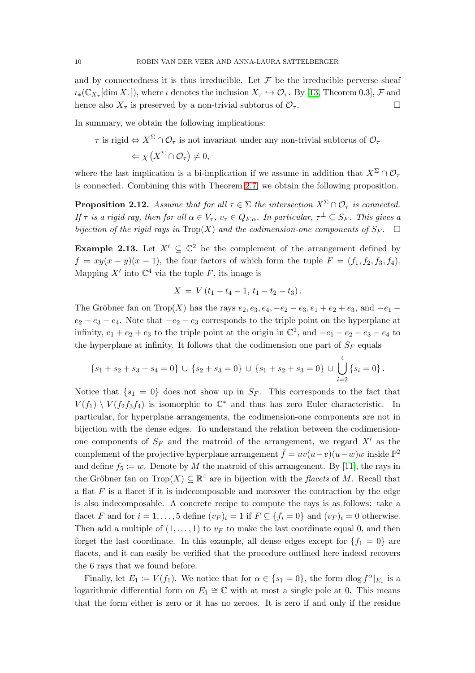and by connectedness it is thus irreducible. Let  $\mathcal F$  be the irreducible perverse sheaf  $\iota_*(\mathbb{C}_{X_{\tau}}[\dim X_{\tau}])$ , where  $\iota$  denotes the inclusion  $X_{\tau} \hookrightarrow \mathcal{O}_{\tau}$ . By [\[13,](#page-17-11) Theorem 0.3],  $\mathcal F$  and hence also  $X_{\tau}$  is preserved by a non-trivial subtorus of  $\mathcal{O}_{\tau}$ .

In summary, we obtain the following implications:

 $\tau$  is rigid  $\Leftrightarrow$   $X^{\Sigma}\cap\mathcal{O}_{\tau}$  is not invariant under any non-trivial subtorus of  $\mathcal{O}_{\tau}$  $\Leftrightarrow \chi\left(X^{\Sigma}\cap\mathcal{O}_{\tau}\right)\neq 0,$ 

where the last implication is a bi-implication if we assume in addition that  $X^{\Sigma}\cap \mathcal{O}_{\tau}$ is connected. Combining this with Theorem [2.7,](#page-7-0) we obtain the following proposition.

<span id="page-9-0"></span>**Proposition 2.12.** Assume that for all  $\tau \in \Sigma$  the intersection  $X^{\Sigma} \cap \mathcal{O}_{\tau}$  is connected. If  $\tau$  is a rigid ray, then for all  $\alpha \in V_{\tau}$ ,  $v_{\tau} \in Q_{F,\alpha}$ . In particular,  $\tau^{\perp} \subseteq S_F$ . This gives a bijection of the rigid rays in  $\text{Top}(X)$  and the codimension-one components of  $S_F$ .  $\Box$ 

<span id="page-9-1"></span>**Example 2.13.** Let  $X' \subseteq \mathbb{C}^2$  be the complement of the arrangement defined by  $f = xy(x - y)(x - 1)$ , the four factors of which form the tuple  $F = (f_1, f_2, f_3, f_4)$ . Mapping X' into  $\mathbb{C}^4$  via the tuple F, its image is

$$
X = V(t_1 - t_4 - 1, t_1 - t_2 - t_3).
$$

The Gröbner fan on Trop(X) has the rays  $e_2, e_3, e_4, -e_2 - e_3, e_1 + e_2 + e_3$ , and  $-e_1$  $e_2 - e_3 - e_4$ . Note that  $-e_2 - e_3$  corresponds to the triple point on the hyperplane at infinity,  $e_1 + e_2 + e_3$  to the triple point at the origin in  $\mathbb{C}^2$ , and  $-e_1 - e_2 - e_3 - e_4$  to the hyperplane at infinity. It follows that the codimension one part of  $S_F$  equals

$$
\{s_1 + s_2 + s_3 + s_4 = 0\} \cup \{s_2 + s_3 = 0\} \cup \{s_1 + s_2 + s_3 = 0\} \cup \bigcup_{i=2}^{4} \{s_i = 0\}.
$$

Notice that  $\{s_1 = 0\}$  does not show up in  $S_F$ . This corresponds to the fact that  $V(f_1) \setminus V(f_2f_3f_4)$  is isomorphic to  $\mathbb{C}^*$  and thus has zero Euler characteristic. In particular, for hyperplane arrangements, the codimension-one components are not in bijection with the dense edges. To understand the relation between the codimensionone components of  $S_F$  and the matroid of the arrangement, we regard  $X'$  as the complement of the projective hyperplane arrangement  $\tilde{f} = uv(u-v)(u-w)w$  inside  $\mathbb{P}^2$ and define  $f_5 \coloneqq w$ . Denote by M the matroid of this arrangement. By [\[11\]](#page-17-6), the rays in the Gröbner fan on Trop $(X) \subseteq \mathbb{R}^4$  are in bijection with the *flacets* of M. Recall that a flat  $F$  is a flacet if it is indecomposable and moreover the contraction by the edge is also indecomposable. A concrete recipe to compute the rays is as follows: take a flacet F and for  $i = 1, ..., 5$  define  $(v_F)_i = 1$  if  $F \subseteq \{f_i = 0\}$  and  $(v_F)_i = 0$  otherwise. Then add a multiple of  $(1, \ldots, 1)$  to  $v_F$  to make the last coordinate equal 0, and then forget the last coordinate. In this example, all dense edges except for  ${f_1 = 0}$  are flacets, and it can easily be verified that the procedure outlined here indeed recovers the 6 rays that we found before.

Finally, let  $E_1 := V(f_1)$ . We notice that for  $\alpha \in \{s_1 = 0\}$ , the form  $\text{dlog } f^{\alpha}|_{E_1}$  is a logarithmic differential form on  $E_1 \cong \mathbb{C}$  with at most a single pole at 0. This means that the form either is zero or it has no zeroes. It is zero if and only if the residue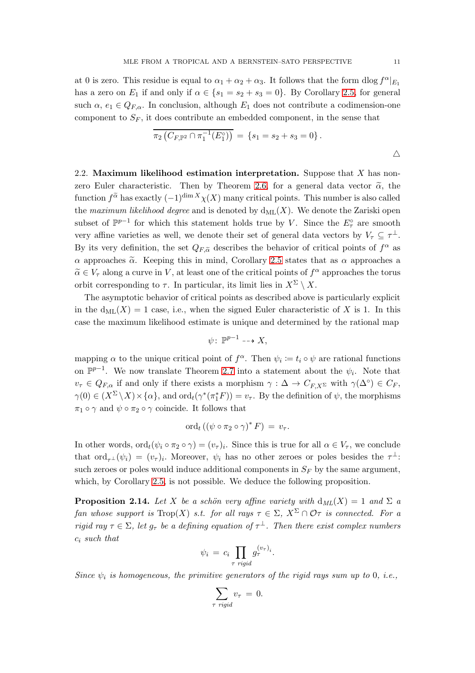at 0 is zero. This residue is equal to  $\alpha_1 + \alpha_2 + \alpha_3$ . It follows that the form  $d\log f^{\alpha}|_{E_1}$ has a zero on  $E_1$  if and only if  $\alpha \in \{s_1 = s_2 + s_3 = 0\}$ . By Corollary [2.5,](#page-7-2) for general such  $\alpha$ ,  $e_1 \in Q_{F,\alpha}$ . In conclusion, although  $E_1$  does not contribute a codimension-one component to  $S_F$ , it does contribute an embedded component, in the sense that

$$
\overline{\pi_2(C_{F,\mathbb{P}^2} \cap \pi_1^{-1}(E_1^c))} = \{s_1 = s_2 + s_3 = 0\}.
$$

<span id="page-10-1"></span>2.2. Maximum likelihood estimation interpretation. Suppose that  $X$  has non-zero Euler characteristic. Then by Theorem [2.6,](#page-7-3) for a general data vector  $\tilde{\alpha}$ , the function  $f^{\tilde{\alpha}}$  has exactly  $(-1)^{\dim X}\chi(X)$  many critical points. This number is also called the maximum likelihood degree and is denoted by  $d_{ML}(X)$ . We denote the Zariski open subset of  $\mathbb{P}^{p-1}$  for which this statement holds true by V. Since the  $E^{\circ}_{\tau}$  are smooth very affine varieties as well, we denote their set of general data vectors by  $V_\tau \subseteq \tau^{\perp}$ . By its very definition, the set  $Q_{F,\tilde{\alpha}}$  describes the behavior of critical points of  $f^{\alpha}$  as  $\alpha$  approaches  $\tilde{\alpha}$ . Keeping this in mind, Corollary [2.5](#page-7-2) states that as  $\alpha$  approaches a  $\tilde{\alpha} \in V_{\tau}$  along a curve in V, at least one of the critical points of  $f^{\alpha}$  approaches the torus orbit corresponding to  $\tau$ . In particular, its limit lies in  $X^{\Sigma} \setminus X$ .

The asymptotic behavior of critical points as described above is particularly explicit in the  $d_{ML}(X) = 1$  case, i.e., when the signed Euler characteristic of X is 1. In this case the maximum likelihood estimate is unique and determined by the rational map

$$
\psi\colon\,\mathbb{P}^{p-1}\dashrightarrow X,
$$

mapping  $\alpha$  to the unique critical point of  $f^{\alpha}$ . Then  $\psi_i := t_i \circ \psi$  are rational functions on  $\mathbb{P}^{p-1}$ . We now translate Theorem [2.7](#page-7-0) into a statement about the  $\psi_i$ . Note that  $v_{\tau} \in Q_{F,\alpha}$  if and only if there exists a morphism  $\gamma : \Delta \to C_{F,X^{\Sigma}}$  with  $\gamma(\Delta^{\circ}) \in C_F$ ,  $\gamma(0) \in (X^{\Sigma} \setminus X) \times \{\alpha\}$ , and  $\text{ord}_t(\gamma^*(\pi_1^* F)) = v_{\tau}$ . By the definition of  $\psi$ , the morphisms  $\pi_1 \circ \gamma$  and  $\psi \circ \pi_2 \circ \gamma$  coincide. It follows that

$$
\mathrm{ord}_{t}\left(\left(\psi\circ\pi_{2}\circ\gamma\right)^{*}F\right)=v_{\tau}.
$$

In other words,  $\text{ord}_t(\psi_i \circ \pi_2 \circ \gamma) = (v_\tau)_i$ . Since this is true for all  $\alpha \in V_\tau$ , we conclude that  $\text{ord}_{\tau^{\perp}}(\psi_i) = (v_{\tau})_i$ . Moreover,  $\psi_i$  has no other zeroes or poles besides the  $\tau^{\perp}$ : such zeroes or poles would induce additional components in  $S_F$  by the same argument, which, by Corollary [2.5,](#page-7-2) is not possible. We deduce the following proposition.

<span id="page-10-0"></span>**Proposition 2.14.** Let X be a schön very affine variety with  $d_{ML}(X) = 1$  and  $\Sigma$  a fan whose support is  $\text{Top}(X)$  s.t. for all rays  $\tau \in \Sigma$ ,  $X^{\Sigma} \cap \mathcal{O}\tau$  is connected. For a rigid ray  $\tau \in \Sigma$ , let  $g_{\tau}$  be a defining equation of  $\tau^{\perp}$ . Then there exist complex numbers  $c_i$  such that

$$
\psi_i = c_i \prod_{\tau \text{ rigid}} g_{\tau}^{(v_{\tau})_i}.
$$

Since  $\psi_i$  is homogeneous, the primitive generators of the rigid rays sum up to 0, i.e.,

$$
\sum_{\tau \text{ rigid}} v_{\tau} = 0.
$$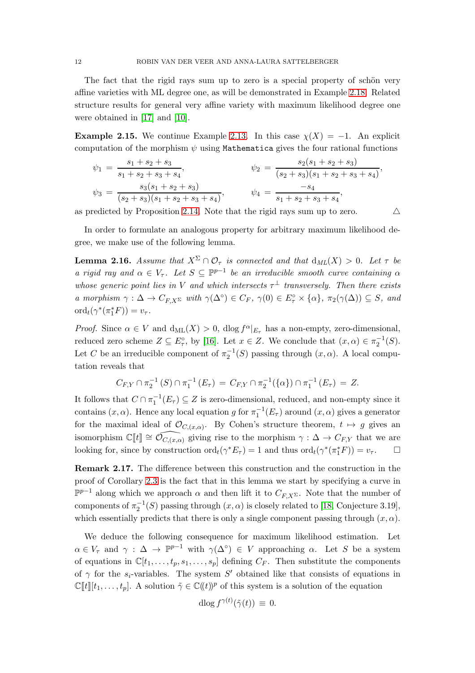The fact that the rigid rays sum up to zero is a special property of schön very affine varieties with ML degree one, as will be demonstrated in Example [2.18.](#page-12-0) Related structure results for general very affine variety with maximum likelihood degree one were obtained in [\[17\]](#page-18-13) and [\[10\]](#page-17-12).

<span id="page-11-1"></span>**Example 2.15.** We continue Example [2.13.](#page-9-1) In this case  $\chi(X) = -1$ . An explicit computation of the morphism  $\psi$  using Mathematica gives the four rational functions

$$
\psi_1 = \frac{s_1 + s_2 + s_3}{s_1 + s_2 + s_3 + s_4}, \qquad \psi_2 = \frac{s_2(s_1 + s_2 + s_3)}{(s_2 + s_3)(s_1 + s_2 + s_3 + s_4)},
$$
  

$$
\psi_3 = \frac{s_3(s_1 + s_2 + s_3)}{(s_2 + s_3)(s_1 + s_2 + s_3 + s_4)}, \qquad \psi_4 = \frac{-s_4}{s_1 + s_2 + s_3 + s_4},
$$

as predicted by Proposition [2.14.](#page-10-0) Note that the rigid rays sum up to zero.  $\triangle$ 

In order to formulate an analogous property for arbitrary maximum likelihood degree, we make use of the following lemma.

<span id="page-11-0"></span>**Lemma 2.16.** Assume that  $X^{\Sigma} \cap \mathcal{O}_{\tau}$  is connected and that  $d_{ML}(X) > 0$ . Let  $\tau$  be a rigid ray and  $\alpha \in V_{\tau}$ . Let  $S \subseteq \mathbb{P}^{p-1}$  be an irreducible smooth curve containing  $\alpha$ whose generic point lies in V and which intersects  $\tau^{\perp}$  transversely. Then there exists a morphism  $\gamma : \Delta \to C_{F,X^{\Sigma}}$  with  $\gamma(\Delta^{\circ}) \in C_F$ ,  $\gamma(0) \in E^{\circ}_{\tau} \times {\alpha}$ ,  $\pi_2(\gamma(\Delta)) \subseteq S$ , and  $\mathrm{ord}_t(\gamma^*(\pi_1^*F)) = v_\tau.$ 

*Proof.* Since  $\alpha \in V$  and  $d_{ML}(X) > 0$ ,  $d \log f^{\alpha}|_{E_{\tau}}$  has a non-empty, zero-dimensional, reduced zero scheme  $Z \subseteq E_\tau^{\circ}$ , by [\[16\]](#page-18-1). Let  $x \in Z$ . We conclude that  $(x, \alpha) \in \pi_2^{-1}(S)$ . Let C be an irreducible component of  $\pi_2^{-1}(S)$  passing through  $(x, \alpha)$ . A local computation reveals that

$$
C_{F,Y} \cap \pi_2^{-1}(S) \cap \pi_1^{-1}(E_{\tau}) = C_{F,Y} \cap \pi_2^{-1}(\{\alpha\}) \cap \pi_1^{-1}(E_{\tau}) = Z.
$$

It follows that  $C \cap \pi_1^{-1}(E_\tau) \subseteq Z$  is zero-dimensional, reduced, and non-empty since it contains  $(x, \alpha)$ . Hence any local equation g for  $\pi_1^{-1}(E_\tau)$  around  $(x, \alpha)$  gives a generator for the maximal ideal of  $\mathcal{O}_{C,(x,\alpha)}$ . By Cohen's structure theorem,  $t \mapsto g$  gives an isomorphism  $\mathbb{C}[[t]] \cong \widehat{\mathcal{O}_{C,(x,\alpha)}}$  giving rise to the morphism  $\gamma : \Delta \to C_{F,Y}$  that we are looking for, since by construction  $\mathrm{ord}_t(\gamma^*E_\tau) = 1$  and thus  $\mathrm{ord}_t(\gamma^*(\pi_1^*F)) = v_\tau$ .  $\Box$ 

Remark 2.17. The difference between this construction and the construction in the proof of Corollary [2.3](#page-6-3) is the fact that in this lemma we start by specifying a curve in  $\mathbb{P}^{p-1}$  along which we approach  $\alpha$  and then lift it to  $C_{F,X^{\Sigma}}$ . Note that the number of components of  $\pi_2^{-1}(S)$  passing through  $(x, \alpha)$  is closely related to [\[18,](#page-18-0) Conjecture 3.19], which essentially predicts that there is only a single component passing through  $(x, \alpha)$ .

We deduce the following consequence for maximum likelihood estimation. Let  $\alpha \in V_{\tau}$  and  $\gamma : \Delta \to \mathbb{P}^{p-1}$  with  $\gamma(\Delta^{\circ}) \in V$  approaching  $\alpha$ . Let S be a system of equations in  $\mathbb{C}[t_1,\ldots,t_p,s_1,\ldots,s_p]$  defining  $C_F$ . Then substitute the components of  $\gamma$  for the  $s_i$ -variables. The system S' obtained like that consists of equations in  $\mathbb{C}[[t]][t_1,\ldots,t_p]$ . A solution  $\tilde{\gamma} \in \mathbb{C}((t))^p$  of this system is a solution of the equation

$$
\mathrm{dlog}\, f^{\gamma(t)}(\tilde{\gamma}(t)) \, \equiv \, 0.
$$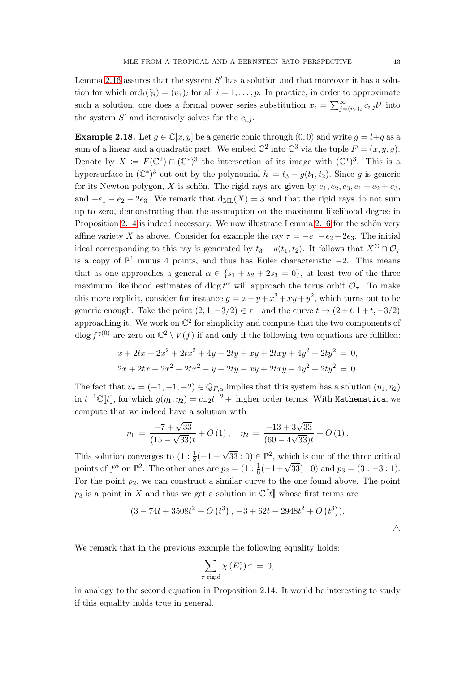Lemma [2.16](#page-11-0) assures that the system  $S'$  has a solution and that moreover it has a solution for which  $\text{ord}_t(\tilde{\gamma}_i) = (v_{\tau})_i$  for all  $i = 1, \ldots, p$ . In practice, in order to approximate such a solution, one does a formal power series substitution  $x_i = \sum_{j=(v_{\tau})_i}^{\infty} c_{i,j} t^j$  into the system  $S'$  and iteratively solves for the  $c_{i,j}$ .

<span id="page-12-0"></span>**Example 2.18.** Let  $g \in \mathbb{C}[x, y]$  be a generic conic through  $(0, 0)$  and write  $g = l + q$  as a sum of a linear and a quadratic part. We embed  $\mathbb{C}^2$  into  $\mathbb{C}^3$  via the tuple  $F = (x, y, g)$ . Denote by  $X := F(\mathbb{C}^2) \cap (\mathbb{C}^*)^3$  the intersection of its image with  $(\mathbb{C}^*)^3$ . This is a hypersurface in  $(\mathbb{C}^*)^3$  cut out by the polynomial  $h \coloneqq t_3 - g(t_1, t_2)$ . Since g is generic for its Newton polygon, X is schön. The rigid rays are given by  $e_1, e_2, e_3, e_1 + e_2 + e_3$ , and  $-e_1 - e_2 - 2e_3$ . We remark that  $d_{ML}(X) = 3$  and that the rigid rays do not sum up to zero, demonstrating that the assumption on the maximum likelihood degree in Proposition [2.14](#page-10-0) is indeed necessary. We now illustrate Lemma [2.16](#page-11-0) for the schön very affine variety X as above. Consider for example the ray  $\tau = -e_1 - e_2 - 2e_3$ . The initial ideal corresponding to this ray is generated by  $t_3 - q(t_1, t_2)$ . It follows that  $X^{\Sigma} \cap \mathcal{O}_{\tau}$ is a copy of  $\mathbb{P}^1$  minus 4 points, and thus has Euler characteristic  $-2$ . This means that as one approaches a general  $\alpha \in \{s_1 + s_2 + 2s_3 = 0\}$ , at least two of the three maximum likelihood estimates of dlog  $t^{\alpha}$  will approach the torus orbit  $\mathcal{O}_{\tau}$ . To make this more explicit, consider for instance  $g = x + y + x^2 + xy + y^2$ , which turns out to be generic enough. Take the point  $(2, 1, -3/2) \in \tau^{\perp}$  and the curve  $t \mapsto (2+t, 1+t, -3/2)$ approaching it. We work on  $\mathbb{C}^2$  for simplicity and compute that the two components of dlog  $f^{\gamma(0)}$  are zero on  $\mathbb{C}^2 \setminus V(f)$  if and only if the following two equations are fulfilled:

$$
x + 2tx - 2x2 + 2tx2 + 4y + 2ty + xy + 2txy + 4y2 + 2ty2 = 0,
$$
  

$$
2x + 2tx + 2x2 + 2tx2 - y + 2ty - xy + 2txy - 4y2 + 2ty2 = 0.
$$

The fact that  $v_\tau = (-1, -1, -2) \in Q_{F,\alpha}$  implies that this system has a solution  $(\eta_1, \eta_2)$ in  $t^{-1}\mathbb{C}[\![t]\!]$ , for which  $g(\eta_1,\eta_2)=c_{-2}t^{-2}+$  higher order terms. With Mathematica, we compute that we indeed have a solution with

$$
\eta_1 = \frac{-7 + \sqrt{33}}{(15 - \sqrt{33})t} + O(1), \quad \eta_2 = \frac{-13 + 3\sqrt{33}}{(60 - 4\sqrt{33})t} + O(1).
$$

This solution converges to  $(1: \frac{1}{8}(-1-\sqrt{33}:0) \in \mathbb{P}^2$ , which is one of the three critical points of  $f^{\alpha}$  on  $\mathbb{P}^2$ . The other ones are  $p_2 = (1 : \frac{1}{8}(-1+\sqrt{33}) : 0)$  and  $p_3 = (3 : -3 : 1)$ . For the point  $p_2$ , we can construct a similar curve to the one found above. The point  $p_3$  is a point in X and thus we get a solution in  $\mathbb{C}[[t]]$  whose first terms are

$$
(3-74t+3508t^2+O(t^3), -3+62t-2948t^2+O(t^3)).
$$

We remark that in the previous example the following equality holds:

$$
\sum_{\tau \text{ rigid}} \chi\left(E_{\tau}^{\circ}\right) \tau \,=\, 0,
$$

in analogy to the second equation in Proposition [2.14.](#page-10-0) It would be interesting to study if this equality holds true in general.

 $\triangle$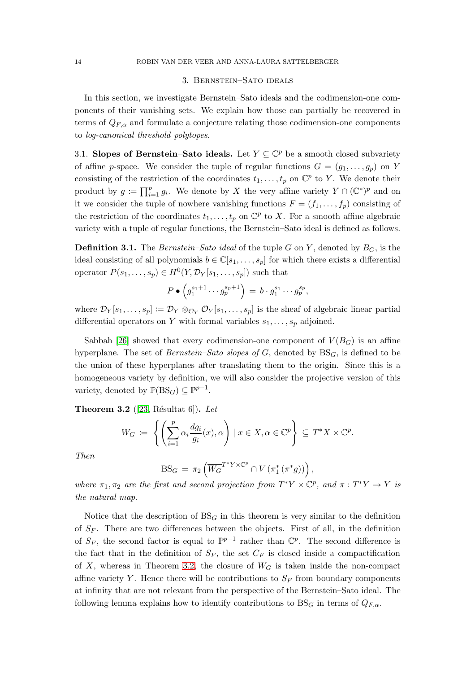#### 3. Bernstein–Sato ideals

<span id="page-13-0"></span>In this section, we investigate Bernstein–Sato ideals and the codimension-one components of their vanishing sets. We explain how those can partially be recovered in terms of  $Q_{F,\alpha}$  and formulate a conjecture relating those codimension-one components to log-canonical threshold polytopes.

3.1. Slopes of Bernstein–Sato ideals. Let  $Y \subseteq \mathbb{C}^p$  be a smooth closed subvariety of affine p-space. We consider the tuple of regular functions  $G = (g_1, \ldots, g_p)$  on Y consisting of the restriction of the coordinates  $t_1, \ldots, t_p$  on  $\mathbb{C}^p$  to Y. We denote their product by  $g := \prod_{i=1}^p g_i$ . We denote by X the very affine variety  $Y \cap (\mathbb{C}^*)^p$  and on it we consider the tuple of nowhere vanishing functions  $F = (f_1, \ldots, f_p)$  consisting of the restriction of the coordinates  $t_1, \ldots, t_p$  on  $\mathbb{C}^p$  to X. For a smooth affine algebraic variety with a tuple of regular functions, the Bernstein–Sato ideal is defined as follows.

**Definition 3.1.** The *Bernstein–Sato ideal* of the tuple G on Y, denoted by  $B_G$ , is the ideal consisting of all polynomials  $b \in \mathbb{C}[s_1,\ldots,s_p]$  for which there exists a differential operator  $P(s_1, \ldots, s_p) \in H^0(Y, \mathcal{D}_Y[s_1, \ldots, s_p])$  such that

$$
P\bullet\left(g_1^{s_1+1}\cdots g_p^{s_p+1}\right) = b\cdot g_1^{s_1}\cdots g_p^{s_p},
$$

where  $\mathcal{D}_Y[s_1,\ldots,s_p] \coloneqq \mathcal{D}_Y \otimes_{\mathcal{O}_Y} \mathcal{O}_Y[s_1,\ldots,s_p]$  is the sheaf of algebraic linear partial differential operators on Y with formal variables  $s_1, \ldots, s_p$  adjoined.

Sabbah [\[26\]](#page-18-5) showed that every codimension-one component of  $V(B_G)$  is an affine hyperplane. The set of *Bernstein–Sato slopes of G*, denoted by  $BS<sub>G</sub>$ , is defined to be the union of these hyperplanes after translating them to the origin. Since this is a homogeneous variety by definition, we will also consider the projective version of this variety, denoted by  $\mathbb{P}(\text{BS}_G) \subseteq \mathbb{P}^{p-1}$ .

<span id="page-13-1"></span>**Theorem 3.2** ([\[23,](#page-18-6) Résultat 6]). Let

$$
W_G \coloneqq \left\{ \left( \sum_{i=1}^p \alpha_i \frac{dg_i}{g_i}(x), \alpha \right) \mid x \in X, \alpha \in \mathbb{C}^p \right\} \subseteq T^*X \times \mathbb{C}^p.
$$

Then

$$
\mathrm{BS}_G = \pi_2 \left( \overline{W_G}^{T^*Y \times \mathbb{C}^p} \cap V \left( \pi_1^* \left( \pi^* g \right) \right) \right),
$$

where  $\pi_1, \pi_2$  are the first and second projection from  $T^*Y \times \mathbb{C}^p$ , and  $\pi : T^*Y \to Y$  is the natural map.

Notice that the description of  $BS<sub>G</sub>$  in this theorem is very similar to the definition of  $S_F$ . There are two differences between the objects. First of all, in the definition of  $S_F$ , the second factor is equal to  $\mathbb{P}^{p-1}$  rather than  $\mathbb{C}^p$ . The second difference is the fact that in the definition of  $S_F$ , the set  $C_F$  is closed inside a compactification of X, whereas in Theorem [3.2,](#page-13-1) the closure of  $W_G$  is taken inside the non-compact affine variety Y. Hence there will be contributions to  $S_F$  from boundary components at infinity that are not relevant from the perspective of the Bernstein–Sato ideal. The following lemma explains how to identify contributions to  $BS<sub>G</sub>$  in terms of  $Q<sub>F,\alpha</sub>$ .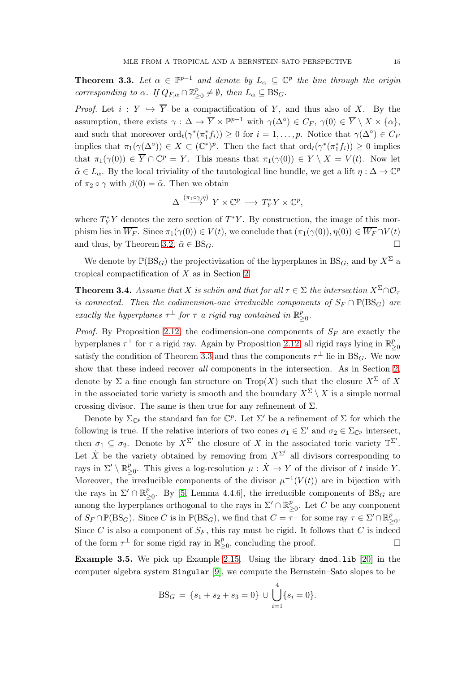<span id="page-14-2"></span>**Theorem 3.3.** Let  $\alpha \in \mathbb{P}^{p-1}$  and denote by  $L_{\alpha} \subseteq \mathbb{C}^p$  the line through the origin corresponding to  $\alpha$ . If  $Q_{F,\alpha} \cap \mathbb{Z}_\geq^p$  $_{\geq 0}^p \neq \emptyset$ , then  $L_\alpha \subseteq \mathrm{BS}_G$ .

*Proof.* Let  $i: Y \hookrightarrow \overline{Y}$  be a compactification of Y, and thus also of X. By the assumption, there exists  $\gamma : \Delta \to \overline{Y} \times \mathbb{P}^{p-1}$  with  $\gamma(\Delta^{\circ}) \in C_F$ ,  $\gamma(0) \in \overline{Y} \setminus X \times \{\alpha\}$ , and such that moreover  $\text{ord}_t(\gamma^*(\pi_1^*f_i)) \geq 0$  for  $i = 1, \ldots, p$ . Notice that  $\gamma(\Delta^{\circ}) \in C_F$ implies that  $\pi_1(\gamma(\Delta^{\circ})) \in X \subset (\mathbb{C}^*)^p$ . Then the fact that  $\text{ord}_t(\gamma^*(\pi_1^*f_i)) \geq 0$  implies that  $\pi_1(\gamma(0)) \in \overline{Y} \cap \mathbb{C}^p = Y$ . This means that  $\pi_1(\gamma(0)) \in Y \setminus X = V(t)$ . Now let  $\tilde{\alpha} \in L_{\alpha}$ . By the local triviality of the tautological line bundle, we get a lift  $\eta : \Delta \to \mathbb{C}^p$ of  $\pi_2 \circ \gamma$  with  $\beta(0) = \tilde{\alpha}$ . Then we obtain

$$
\Delta \stackrel{(\pi_1 \circ \gamma, \eta)}{\longrightarrow} Y \times \mathbb{C}^p \longrightarrow T_Y^* Y \times \mathbb{C}^p,
$$

where  $T_Y^*Y$  denotes the zero section of  $T^*Y$ . By construction, the image of this morphism lies in  $\overline{W_F}$ . Since  $\pi_1(\gamma(0)) \in V(t)$ , we conclude that  $(\pi_1(\gamma(0)), \eta(0)) \in \overline{W_F} \cap V(t)$ and thus, by Theorem [3.2,](#page-13-1)  $\tilde{\alpha} \in BS_G$ .

We denote by  $\mathbb{P}(BS_G)$  the projectivization of the hyperplanes in  $BS_G$ , and by  $X^{\Sigma}$  a tropical compactification of X as in Section [2.](#page-6-0)

<span id="page-14-0"></span>**Theorem 3.4.** Assume that X is schön and that for all  $\tau \in \Sigma$  the intersection  $X^{\Sigma}\cap\mathcal{O}_{\tau}$ is connected. Then the codimension-one irreducible components of  $S_F \cap \mathbb{P}(\text{BS}_G)$  are exactly the hyperplanes  $\tau^{\perp}$  for  $\tau$  a rigid ray contained in  $\mathbb{R}^p$ . *բ*<br>≥0∙

*Proof.* By Proposition [2.12,](#page-9-0) the codimension-one components of  $S_F$  are exactly the hyperplanes  $\tau^{\perp}$  for  $\tau$  a rigid ray. Again by Proposition [2.12,](#page-9-0) all rigid rays lying in  $\mathbb{R}^p_{\geq}$ ≥0 satisfy the condition of Theorem [3.3](#page-14-2) and thus the components  $\tau^{\perp}$  lie in BS<sub>G</sub>. We now show that these indeed recover all components in the intersection. As in Section [2,](#page-6-0) denote by  $\Sigma$  a fine enough fan structure on  $\text{Top}(X)$  such that the closure  $X^{\Sigma}$  of X in the associated toric variety is smooth and the boundary  $X^{\Sigma} \setminus X$  is a simple normal crossing divisor. The same is then true for any refinement of  $\Sigma$ .

Denote by  $\Sigma_{\mathbb{C}^p}$  the standard fan for  $\mathbb{C}^p$ . Let  $\Sigma'$  be a refinement of  $\Sigma$  for which the following is true. If the relative interiors of two cones  $\sigma_1 \in \Sigma'$  and  $\sigma_2 \in \Sigma_{\mathbb{C}^p}$  intersect, then  $\sigma_1 \subseteq \sigma_2$ . Denote by  $X^{\Sigma'}$  the closure of X in the associated toric variety  $\mathbb{T}^{\Sigma'}$ . Let  $\dot{X}$  be the variety obtained by removing from  $X^{\Sigma'}$  all divisors corresponding to rays in  $\Sigma' \setminus \mathbb{R}^p_{\geq}$  $_{\geq 0}^p$ . This gives a log-resolution  $\mu$  :  $\dot{X} \to Y$  of the divisor of t inside Y. Moreover, the irreducible components of the divisor  $\mu^{-1}(V(t))$  are in bijection with the rays in  $\Sigma' \cap \mathbb{R}^p_{\geq}$  $_{\geq 0}^p$ . By [\[5,](#page-17-13) Lemma 4.4.6], the irreducible components of BS<sub>G</sub> are among the hyperplanes orthogonal to the rays in  $\Sigma' \cap \mathbb{R}^p_{\geq}$  $_{\geq 0}^p$ . Let C be any component of  $S_F \cap \mathbb{P}(\text{BS}_G)$ . Since C is in  $\mathbb{P}(\text{BS}_G)$ , we find that  $C = \overline{\tau}^{\perp}$  for some ray  $\tau \in \Sigma' \cap \mathbb{R}^p_{\geq 0}$ *բ*<br>≥0∙ Since C is also a component of  $S_F$ , this ray must be rigid. It follows that C is indeed of the form  $\tau^{\perp}$  for some rigid ray in  $\mathbb{R}^p_{\geq}$  $\sum_{\geq 0}^p$ , concluding the proof.

<span id="page-14-1"></span>Example 3.5. We pick up Example [2.15.](#page-11-1) Using the library dmod.lib [\[20\]](#page-18-14) in the computer algebra system Singular [\[9\]](#page-17-14), we compute the Bernstein–Sato slopes to be

$$
BS_G = \{s_1 + s_2 + s_3 = 0\} \cup \bigcup_{i=1}^4 \{s_i = 0\}.
$$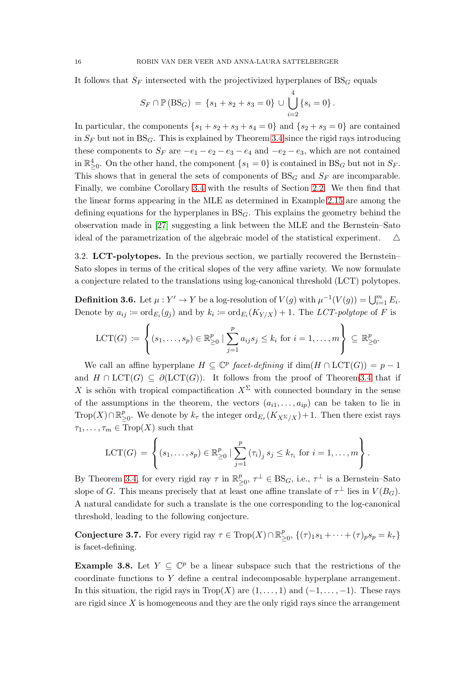It follows that  $S_F$  intersected with the projectivized hyperplanes of  $BS_G$  equals

$$
S_F \cap \mathbb{P}(\text{BS}_G) = \{s_1 + s_2 + s_3 = 0\} \cup \bigcup_{i=2}^4 \{s_i = 0\}.
$$

In particular, the components  $\{s_1 + s_2 + s_3 + s_4 = 0\}$  and  $\{s_2 + s_3 = 0\}$  are contained in  $S_F$  but not in  $BS_G$ . This is explained by Theorem [3.4](#page-14-0) since the rigid rays introducing these components to  $S_F$  are  $-e_1 - e_2 - e_3 - e_4$  and  $-e_2 - e_3$ , which are not contained in  $\mathbb{R}^4_{\geq 0}$ . On the other hand, the component  $\{s_1 = 0\}$  is contained in  $BS_G$  but not in  $S_F$ . This shows that in general the sets of components of  $BS_G$  and  $S_F$  are incomparable. Finally, we combine Corollary [3.4](#page-14-0) with the results of Section [2.2.](#page-10-1) We then find that the linear forms appearing in the MLE as determined in Example [2.15](#page-11-1) are among the defining equations for the hyperplanes in  $BS<sub>G</sub>$ . This explains the geometry behind the observation made in [\[27\]](#page-18-7) suggesting a link between the MLE and the Bernstein–Sato ideal of the parametrization of the algebraic model of the statistical experiment.  $\Delta$ 

<span id="page-15-0"></span>3.2. LCT-polytopes. In the previous section, we partially recovered the Bernstein– Sato slopes in terms of the critical slopes of the very affine variety. We now formulate a conjecture related to the translations using log-canonical threshold (LCT) polytopes.

**Definition 3.6.** Let  $\mu : Y' \to Y$  be a log-resolution of  $V(g)$  with  $\mu^{-1}(V(g)) = \bigcup_{i=1}^{m} E_i$ . Denote by  $a_{ij} \coloneqq \text{ord}_{E_i}(g_j)$  and by  $k_i \coloneqq \text{ord}_{E_i}(K_{Y/X}) + 1$ . The LCT-polytope of F is

$$
\text{LCT}(G) \coloneqq \left\{ (s_1, \ldots, s_p) \in \mathbb{R}^p_{\geq 0} \mid \sum_{j=1}^p a_{ij} s_j \leq k_i \text{ for } i = 1, \ldots, m \right\} \subseteq \mathbb{R}^p_{\geq 0}.
$$

We call an affine hyperplane  $H \subseteq \mathbb{C}^p$  facet-defining if  $\dim(H \cap LCT(G)) = p - 1$ and  $H \cap \text{LCT}(G) \subseteq \partial(\text{LCT}(G))$ . It follows from the proof of Theorem 3.4 that if X is schön with tropical compactification  $X^{\Sigma}$  with connected boundary in the sense of the assumptions in the theorem, the vectors  $(a_{i1}, \ldots, a_{ip})$  can be taken to lie in  $\operatorname{Trop}(X) \cap \mathbb{R}^p_{\geq}$  $\sum_{\geq 0}^p$ . We denote by  $k_{\tau}$  the integer  $\text{ord}_{E_{\tau}}(K_{X^{\Sigma}/X})+1$ . Then there exist rays  $\tau_1, \ldots, \tau_m \in \text{Trop}(X)$  such that

$$
LCT(G) = \left\{ (s_1, ..., s_p) \in \mathbb{R}_{\geq 0}^p \mid \sum_{j=1}^p (\tau_i)_j \, s_j \leq k_{\tau_i} \text{ for } i = 1, ..., m \right\}.
$$

By Theorem [3.4,](#page-14-0) for every rigid ray  $\tau$  in  $\mathbb{R}^p$  $_{\geq 0}^p$ ,  $\tau^{\perp} \in \text{BS}_G$ , i.e.,  $\tau^{\perp}$  is a Bernstein–Sato slope of G. This means precisely that at least one affine translate of  $\tau^{\perp}$  lies in  $V(B_G)$ . A natural candidate for such a translate is the one corresponding to the log-canonical threshold, leading to the following conjecture.

**Conjecture 3.7.** For every rigid ray  $\tau \in \text{Trop}(X) \cap \mathbb{R}^p_{\geq 0}$  $\sum_{\geq 0}^{p}$ ,  $\{(\tau)_1s_1 + \cdots + (\tau)_ps_p = k_{\tau}\}$ is facet-defining.

**Example 3.8.** Let  $Y \subseteq \mathbb{C}^p$  be a linear subspace such that the restrictions of the coordinate functions to Y define a central indecomposable hyperplane arrangement. In this situation, the rigid rays in  $Trop(X)$  are  $(1, \ldots, 1)$  and  $(-1, \ldots, -1)$ . These rays are rigid since  $X$  is homogeneous and they are the only rigid rays since the arrangement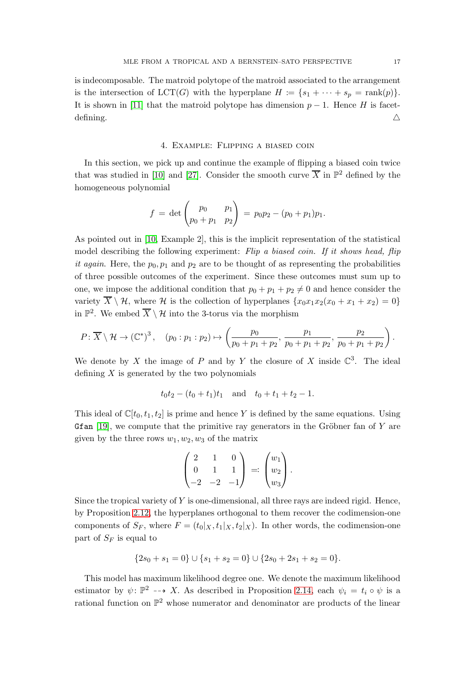is indecomposable. The matroid polytope of the matroid associated to the arrangement is the intersection of  $LCT(G)$  with the hyperplane  $H := \{s_1 + \cdots + s_p = \text{rank}(p)\}.$ It is shown in [\[11\]](#page-17-6) that the matroid polytope has dimension  $p-1$ . Hence H is facetdefining.  $\triangle$ 

#### 4. Example: Flipping a biased coin

<span id="page-16-0"></span>In this section, we pick up and continue the example of flipping a biased coin twice that was studied in [\[10\]](#page-17-12) and [\[27\]](#page-18-7). Consider the smooth curve  $\overline{X}$  in  $\mathbb{P}^2$  defined by the homogeneous polynomial

$$
f = \det \begin{pmatrix} p_0 & p_1 \\ p_0 + p_1 & p_2 \end{pmatrix} = p_0 p_2 - (p_0 + p_1) p_1.
$$

As pointed out in [\[10,](#page-17-12) Example 2], this is the implicit representation of the statistical model describing the following experiment: Flip a biased coin. If it shows head, flip it again. Here, the  $p_0, p_1$  and  $p_2$  are to be thought of as representing the probabilities of three possible outcomes of the experiment. Since these outcomes must sum up to one, we impose the additional condition that  $p_0 + p_1 + p_2 \neq 0$  and hence consider the variety  $\overline{X} \setminus \mathcal{H}$ , where  $\mathcal{H}$  is the collection of hyperplanes  $\{x_0x_1x_2(x_0 + x_1 + x_2) = 0\}$ in  $\mathbb{P}^2$ . We embed  $\overline{X} \setminus \mathcal{H}$  into the 3-torus via the morphism

$$
P: \overline{X} \setminus \mathcal{H} \to (\mathbb{C}^*)^3, \quad (p_0:p_1:p_2) \mapsto \left(\frac{p_0}{p_0+p_1+p_2}, \frac{p_1}{p_0+p_1+p_2}, \frac{p_2}{p_0+p_1+p_2}\right).
$$

We denote by X the image of P and by Y the closure of X inside  $\mathbb{C}^3$ . The ideal defining  $X$  is generated by the two polynomials

$$
t_0t_2 - (t_0 + t_1)t_1
$$
 and  $t_0 + t_1 + t_2 - 1$ .

This ideal of  $\mathbb{C}[t_0, t_1, t_2]$  is prime and hence Y is defined by the same equations. Using Gfan [\[19\]](#page-18-15), we compute that the primitive ray generators in the Gröbner fan of  $Y$  are given by the three rows  $w_1, w_2, w_3$  of the matrix

$$
\begin{pmatrix} 2 & 1 & 0 \ 0 & 1 & 1 \ -2 & -2 & -1 \end{pmatrix} =: \begin{pmatrix} w_1 \\ w_2 \\ w_3 \end{pmatrix}.
$$

Since the tropical variety of  $Y$  is one-dimensional, all three rays are indeed rigid. Hence, by Proposition [2.12,](#page-9-0) the hyperplanes orthogonal to them recover the codimension-one components of  $S_F$ , where  $F = (t_0|_X, t_1|_X, t_2|_X)$ . In other words, the codimension-one part of  $S_F$  is equal to

$$
{2s_0 + s_1 = 0} \cup {s_1 + s_2 = 0} \cup {2s_0 + 2s_1 + s_2 = 0}.
$$

This model has maximum likelihood degree one. We denote the maximum likelihood estimator by  $\psi: \mathbb{P}^2 \dashrightarrow X$ . As described in Proposition [2.14,](#page-10-0) each  $\psi_i = t_i \circ \psi$  is a rational function on  $\mathbb{P}^2$  whose numerator and denominator are products of the linear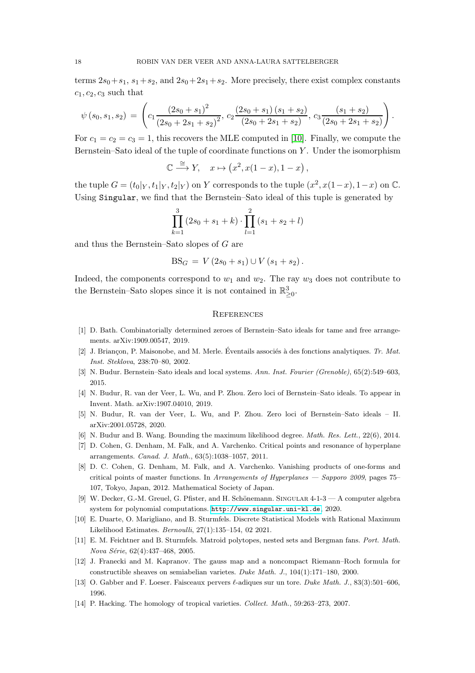terms  $2s_0+s_1$ ,  $s_1+s_2$ , and  $2s_0+2s_1+s_2$ . More precisely, there exist complex constants  $c_1, c_2, c_3$  such that

$$
\psi(s_0, s_1, s_2) = \left( c_1 \frac{\left(2s_0 + s_1\right)^2}{\left(2s_0 + 2s_1 + s_2\right)^2}, c_2 \frac{\left(2s_0 + s_1\right)\left(s_1 + s_2\right)}{\left(2s_0 + 2s_1 + s_2\right)}, c_3 \frac{\left(s_1 + s_2\right)}{\left(2s_0 + 2s_1 + s_2\right)} \right).
$$

For  $c_1 = c_2 = c_3 = 1$ , this recovers the MLE computed in [\[10\]](#page-17-12). Finally, we compute the Bernstein–Sato ideal of the tuple of coordinate functions on  $Y$ . Under the isomorphism

$$
\mathbb{C} \xrightarrow{\cong} Y, \quad x \mapsto (x^2, x(1-x), 1-x),
$$

the tuple  $G = (t_0|_Y, t_1|_Y, t_2|_Y)$  on Y corresponds to the tuple  $(x^2, x(1-x), 1-x)$  on  $\mathbb{C}$ . Using Singular, we find that the Bernstein–Sato ideal of this tuple is generated by

$$
\prod_{k=1}^{3} (2s_0 + s_1 + k) \cdot \prod_{l=1}^{2} (s_1 + s_2 + l)
$$

and thus the Bernstein–Sato slopes of G are

$$
BS_G = V (2s_0 + s_1) \cup V (s_1 + s_2).
$$

Indeed, the components correspond to  $w_1$  and  $w_2$ . The ray  $w_3$  does not contribute to the Bernstein–Sato slopes since it is not contained in  $\mathbb{R}^3_{\geq 0}$ .

## <span id="page-17-0"></span>**REFERENCES**

- <span id="page-17-7"></span><span id="page-17-5"></span>[1] D. Bath. Combinatorially determined zeroes of Bernstein–Sato ideals for tame and free arrangements. arXiv:1909.00547, 2019.
- <span id="page-17-3"></span>[2] J. Briançon, P. Maisonobe, and M. Merle. Eventails associés à des fonctions analytiques.  $Tr. Mat.$ Inst. Steklova, 238:70–80, 2002.
- <span id="page-17-4"></span>[3] N. Budur. Bernstein–Sato ideals and local systems. Ann. Inst. Fourier (Grenoble), 65(2):549–603, 2015.
- <span id="page-17-13"></span>[4] N. Budur, R. van der Veer, L. Wu, and P. Zhou. Zero loci of Bernstein–Sato ideals. To appear in Invent. Math. arXiv:1907.04010, 2019.
- <span id="page-17-9"></span>[5] N. Budur, R. van der Veer, L. Wu, and P. Zhou. Zero loci of Bernstein–Sato ideals – II. arXiv:2001.05728, 2020.
- <span id="page-17-2"></span>[6] N. Budur and B. Wang. Bounding the maximum likelihood degree. Math. Res. Lett., 22(6), 2014.
- <span id="page-17-10"></span>[7] D. Cohen, G. Denham, M. Falk, and A. Varchenko. Critical points and resonance of hyperplane arrangements. Canad. J. Math., 63(5):1038–1057, 2011.
- [8] D. C. Cohen, G. Denham, M. Falk, and A. Varchenko. Vanishing products of one-forms and critical points of master functions. In Arrangements of Hyperplanes — Sapporo 2009, pages 75– 107, Tokyo, Japan, 2012. Mathematical Society of Japan.
- <span id="page-17-14"></span>[9] W. Decker, G.-M. Greuel, G. Pfister, and H. Schönemann. SINGULAR 4-1-3 — A computer algebra system for polynomial computations. <http://www.singular.uni-kl.de>, 2020.
- <span id="page-17-12"></span><span id="page-17-6"></span>[10] E. Duarte, O. Marigliano, and B. Sturmfels. Discrete Statistical Models with Rational Maximum Likelihood Estimates. Bernoulli, 27(1):135–154, 02 2021.
- [11] E. M. Feichtner and B. Sturmfels. Matroid polytopes, nested sets and Bergman fans. Port. Math. Nova Série, 62(4):437-468, 2005.
- <span id="page-17-1"></span>[12] J. Franecki and M. Kapranov. The gauss map and a noncompact Riemann–Roch formula for constructible sheaves on semiabelian varietes. Duke Math. J., 104(1):171–180, 2000.
- <span id="page-17-11"></span><span id="page-17-8"></span>[13] O. Gabber and F. Loeser. Faisceaux pervers  $\ell$ -adiques sur un tore. *Duke Math. J.*, 83(3):501–606, 1996.
- [14] P. Hacking. The homology of tropical varieties. Collect. Math., 59:263–273, 2007.